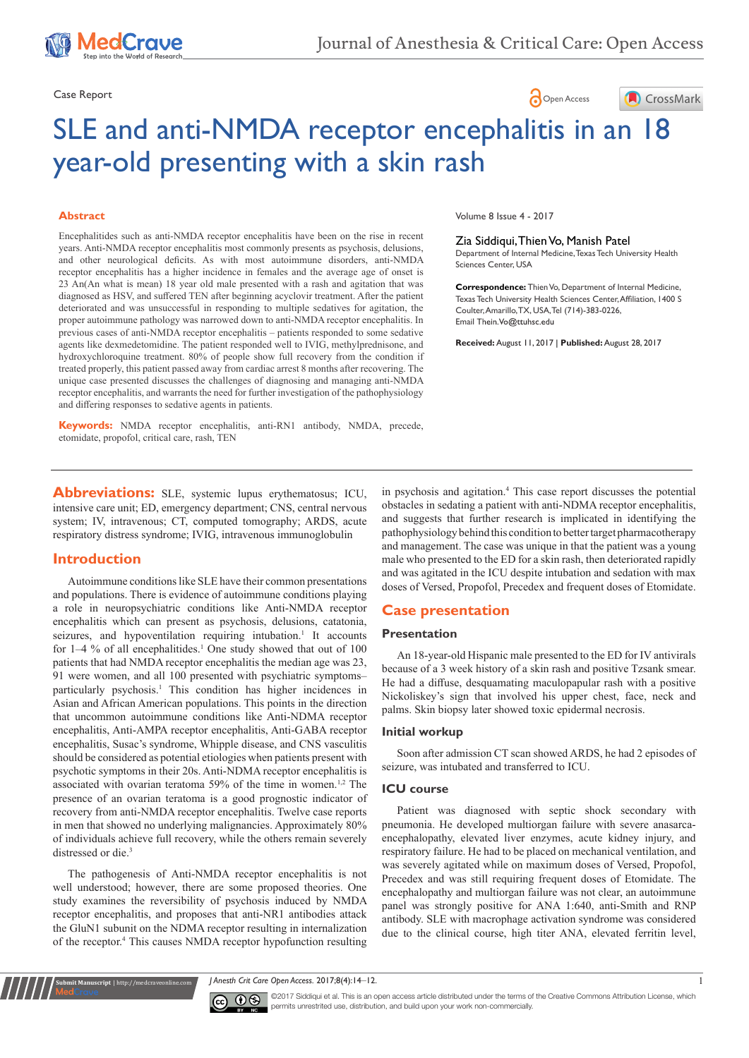

# Case Report **Case Report**



# SLE and anti-NMDA receptor encephalitis in an 18 year-old presenting with a skin rash

#### **Abstract**

Encephalitides such as anti-NMDA receptor encephalitis have been on the rise in recent years. Anti-NMDA receptor encephalitis most commonly presents as psychosis, delusions, and other neurological deficits. As with most autoimmune disorders, anti-NMDA receptor encephalitis has a higher incidence in females and the average age of onset is 23 An(An what is mean) 18 year old male presented with a rash and agitation that was diagnosed as HSV, and suffered TEN after beginning acyclovir treatment. After the patient deteriorated and was unsuccessful in responding to multiple sedatives for agitation, the proper autoimmune pathology was narrowed down to anti-NMDA receptor encephalitis. In previous cases of anti-NMDA receptor encephalitis – patients responded to some sedative agents like dexmedetomidine. The patient responded well to IVIG, methylprednisone, and hydroxychloroquine treatment. 80% of people show full recovery from the condition if treated properly, this patient passed away from cardiac arrest 8 months after recovering. The unique case presented discusses the challenges of diagnosing and managing anti-NMDA receptor encephalitis, and warrants the need for further investigation of the pathophysiology and differing responses to sedative agents in patients.

**Keywords:** NMDA receptor encephalitis, anti-RN1 antibody, NMDA, precede, etomidate, propofol, critical care, rash, TEN

Volume 8 Issue 4 - 2017

#### Zia Siddiqui, Thien Vo, Manish Patel

Department of Internal Medicine, Texas Tech University Health Sciences Center, USA

**Correspondence:** Thien Vo, Department of Internal Medicine, Texas Tech University Health Sciences Center, Affiliation, 1400 S Coulter, Amarillo, TX, USA, Tel (714)-383-0226, Email Thein.Vo@ttuhsc.edu

**Received:** August 11, 2017 | **Published:** August 28, 2017

**Abbreviations:** SLE, systemic lupus erythematosus; ICU, intensive care unit; ED, emergency department; CNS, central nervous system; IV, intravenous; CT, computed tomography; ARDS, acute respiratory distress syndrome; IVIG, intravenous immunoglobulin

# **Introduction**

Autoimmune conditions like SLE have their common presentations and populations. There is evidence of autoimmune conditions playing a role in neuropsychiatric conditions like Anti-NMDA receptor encephalitis which can present as psychosis, delusions, catatonia, seizures, and hypoventilation requiring intubation.<sup>1</sup> It accounts for  $1-4$  % of all encephalitides.<sup>1</sup> One study showed that out of  $100$ patients that had NMDA receptor encephalitis the median age was 23, 91 were women, and all 100 presented with psychiatric symptoms– particularly psychosis.<sup>1</sup> This condition has higher incidences in Asian and African American populations. This points in the direction that uncommon autoimmune conditions like Anti-NDMA receptor encephalitis, Anti-AMPA receptor encephalitis, Anti-GABA receptor encephalitis, Susac's syndrome, Whipple disease, and CNS vasculitis should be considered as potential etiologies when patients present with psychotic symptoms in their 20s. Anti-NDMA receptor encephalitis is associated with ovarian teratoma 59% of the time in women.<sup>1,2</sup> The presence of an ovarian teratoma is a good prognostic indicator of recovery from anti-NMDA receptor encephalitis. Twelve case reports in men that showed no underlying malignancies. Approximately 80% of individuals achieve full recovery, while the others remain severely distressed or die.<sup>3</sup>

The pathogenesis of Anti-NMDA receptor encephalitis is not well understood; however, there are some proposed theories. One study examines the reversibility of psychosis induced by NMDA receptor encephalitis, and proposes that anti-NR1 antibodies attack the GluN1 subunit on the NDMA receptor resulting in internalization of the receptor.<sup>4</sup> This causes NMDA receptor hypofunction resulting

**it Manuscript** | http://medcraveonline.c

in psychosis and agitation.4 This case report discusses the potential obstacles in sedating a patient with anti-NDMA receptor encephalitis, and suggests that further research is implicated in identifying the pathophysiology behind this condition to better target pharmacotherapy and management. The case was unique in that the patient was a young male who presented to the ED for a skin rash, then deteriorated rapidly and was agitated in the ICU despite intubation and sedation with max doses of Versed, Propofol, Precedex and frequent doses of Etomidate.

# **Case presentation**

#### **Presentation**

An 18-year-old Hispanic male presented to the ED for IV antivirals because of a 3 week history of a skin rash and positive Tzsank smear. He had a diffuse, desquamating maculopapular rash with a positive Nickoliskey's sign that involved his upper chest, face, neck and palms. Skin biopsy later showed toxic epidermal necrosis.

#### **Initial workup**

Soon after admission CT scan showed ARDS, he had 2 episodes of seizure, was intubated and transferred to ICU.

#### **ICU course**

Patient was diagnosed with septic shock secondary with pneumonia. He developed multiorgan failure with severe anasarcaencephalopathy, elevated liver enzymes, acute kidney injury, and respiratory failure. He had to be placed on mechanical ventilation, and was severely agitated while on maximum doses of Versed, Propofol, Precedex and was still requiring frequent doses of Etomidate. The encephalopathy and multiorgan failure was not clear, an autoimmune panel was strongly positive for ANA 1:640, anti-Smith and RNP antibody. SLE with macrophage activation syndrome was considered due to the clinical course, high titer ANA, elevated ferritin level,

*J Anesth Crit Care Open Access.* 2017;8(4):14‒12. 1



©2017 Siddiqui et al. This is an open access article distributed under the terms of the Creative Commons Attribution License, which permits unrestrited use, distribution, and build upon your work non-commercially.